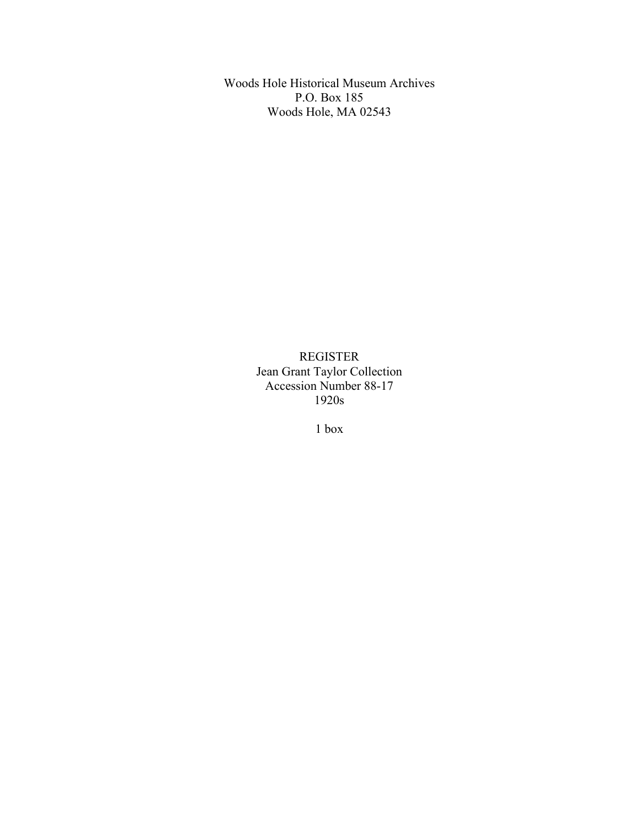Woods Hole Historical Museum Archives P.O. Box 185 Woods Hole, MA 02543

> REGISTER Jean Grant Taylor Collection Accession Number 88-17 1920s

> > 1 box